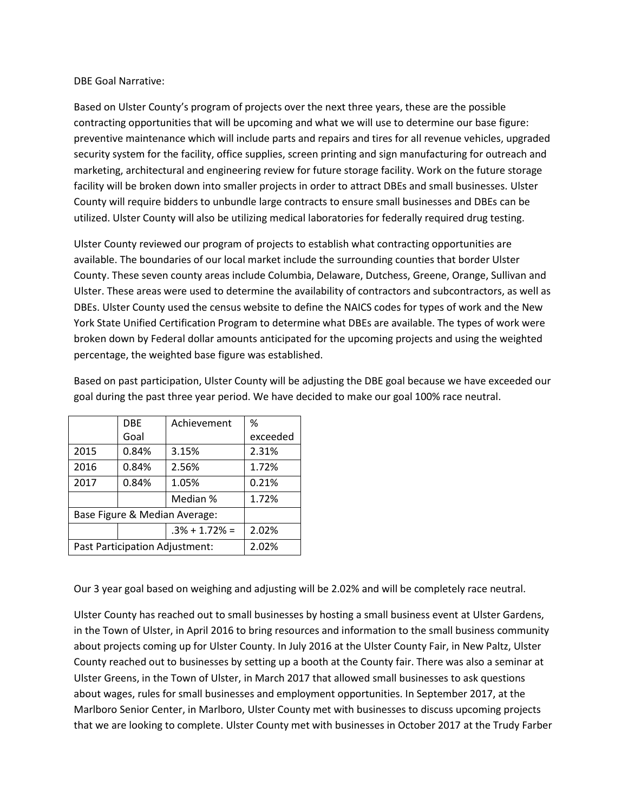#### DBE Goal Narrative:

Based on Ulster County's program of projects over the next three years, these are the possible contracting opportunities that will be upcoming and what we will use to determine our base figure: preventive maintenance which will include parts and repairs and tires for all revenue vehicles, upgraded security system for the facility, office supplies, screen printing and sign manufacturing for outreach and marketing, architectural and engineering review for future storage facility. Work on the future storage facility will be broken down into smaller projects in order to attract DBEs and small businesses. Ulster County will require bidders to unbundle large contracts to ensure small businesses and DBEs can be utilized. Ulster County will also be utilizing medical laboratories for federally required drug testing.

Ulster County reviewed our program of projects to establish what contracting opportunities are available. The boundaries of our local market include the surrounding counties that border Ulster County. These seven county areas include Columbia, Delaware, Dutchess, Greene, Orange, Sullivan and Ulster. These areas were used to determine the availability of contractors and subcontractors, as well as DBEs. Ulster County used the census website to define the NAICS codes for types of work and the New York State Unified Certification Program to determine what DBEs are available. The types of work were broken down by Federal dollar amounts anticipated for the upcoming projects and using the weighted percentage, the weighted base figure was established.

|                                | <b>DBE</b> | Achievement       | %        |  |
|--------------------------------|------------|-------------------|----------|--|
|                                | Goal       |                   | exceeded |  |
| 2015                           | 0.84%      | 3.15%             | 2.31%    |  |
| 2016                           | 0.84%      | 2.56%             | 1.72%    |  |
| 2017                           | 0.84%      | 1.05%             | 0.21%    |  |
|                                |            | Median %          | 1.72%    |  |
| Base Figure & Median Average:  |            |                   |          |  |
|                                |            | $.3\% + 1.72\% =$ | 2.02%    |  |
| Past Participation Adjustment: |            |                   | 2.02%    |  |

Based on past participation, Ulster County will be adjusting the DBE goal because we have exceeded our goal during the past three year period. We have decided to make our goal 100% race neutral.

Our 3 year goal based on weighing and adjusting will be 2.02% and will be completely race neutral.

Ulster County has reached out to small businesses by hosting a small business event at Ulster Gardens, in the Town of Ulster, in April 2016 to bring resources and information to the small business community about projects coming up for Ulster County. In July 2016 at the Ulster County Fair, in New Paltz, Ulster County reached out to businesses by setting up a booth at the County fair. There was also a seminar at Ulster Greens, in the Town of Ulster, in March 2017 that allowed small businesses to ask questions about wages, rules for small businesses and employment opportunities. In September 2017, at the Marlboro Senior Center, in Marlboro, Ulster County met with businesses to discuss upcoming projects that we are looking to complete. Ulster County met with businesses in October 2017 at the Trudy Farber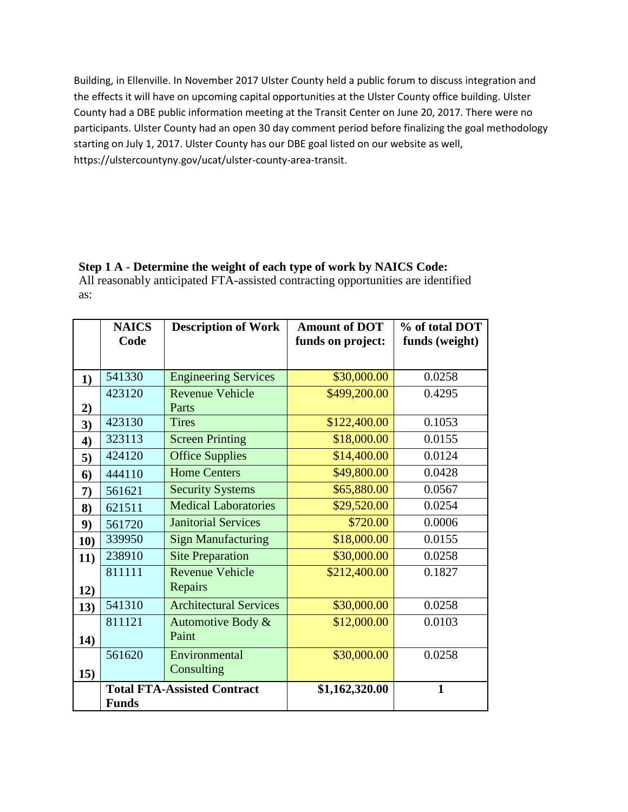Building, in Ellenville. In November 2017 Ulster County held a public forum to discuss integration and the effects it will have on upcoming capital opportunities at the Ulster County office building. Ulster County had a DBE public information meeting at the Transit Center on June 20, 2017. There were no participants. Ulster County had an open 30 day comment period before finalizing the goal methodology starting on July 1, 2017. Ulster County has our DBE goal listed on our website as well, https://ulstercountyny.gov/ucat/ulster-county-area-transit.

## **Step 1 A - Determine the weight of each type of work by NAICS Code:** All reasonably anticipated FTA-assisted contracting opportunities are identified

as:

|     | <b>NAICS</b><br>Code | <b>Description of Work</b>         | <b>Amount of DOT</b><br>funds on project: | % of total DOT<br>funds (weight) |
|-----|----------------------|------------------------------------|-------------------------------------------|----------------------------------|
|     |                      |                                    |                                           |                                  |
| 1)  | 541330               | <b>Engineering Services</b>        | \$30,000.00                               | 0.0258                           |
|     | 423120               | <b>Revenue Vehicle</b>             | \$499,200.00                              | 0.4295                           |
| 2)  |                      | Parts                              |                                           |                                  |
| 3)  | 423130               | <b>Tires</b>                       | \$122,400.00                              | 0.1053                           |
| 4)  | 323113               | <b>Screen Printing</b>             | \$18,000.00                               | 0.0155                           |
| 5)  | 424120               | <b>Office Supplies</b>             | \$14,400.00                               | 0.0124                           |
| 6)  | 444110               | <b>Home Centers</b>                | \$49,800.00                               | 0.0428                           |
| 7)  | 561621               | <b>Security Systems</b>            | \$65,880.00                               | 0.0567                           |
| 8)  | 621511               | <b>Medical Laboratories</b>        | \$29,520.00                               | 0.0254                           |
| 9)  | 561720               | <b>Janitorial Services</b>         | \$720.00                                  | 0.0006                           |
| 10) | 339950               | <b>Sign Manufacturing</b>          | \$18,000.00                               | 0.0155                           |
| 11) | 238910               | <b>Site Preparation</b>            | \$30,000.00                               | 0.0258                           |
|     | 811111               | <b>Revenue Vehicle</b>             | \$212,400.00                              | 0.1827                           |
| 12) |                      | Repairs                            |                                           |                                  |
| 13) | 541310               | <b>Architectural Services</b>      | \$30,000.00                               | 0.0258                           |
|     | 811121               | Automotive Body &                  | \$12,000.00                               | 0.0103                           |
| 14) |                      | Paint                              |                                           |                                  |
|     | 561620               | Environmental                      | \$30,000.00                               | 0.0258                           |
| 15) |                      | Consulting                         |                                           |                                  |
|     |                      | <b>Total FTA-Assisted Contract</b> | \$1,162,320.00                            | $\mathbf{1}$                     |
|     | <b>Funds</b>         |                                    |                                           |                                  |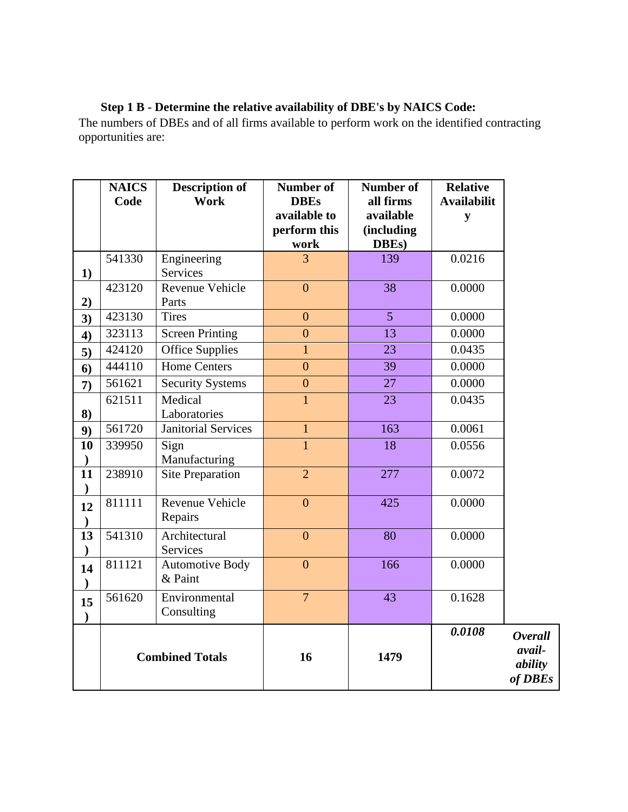# **Step 1 B - Determine the relative availability of DBE's by NAICS Code:**

The numbers of DBEs and of all firms available to perform work on the identified contracting opportunities are:

|                     | <b>NAICS</b><br>Code   | <b>Description of</b><br>Work     | Number of<br><b>DBEs</b>     | <b>Number of</b><br>all firms | <b>Relative</b><br><b>Availabilit</b> |                                                       |
|---------------------|------------------------|-----------------------------------|------------------------------|-------------------------------|---------------------------------------|-------------------------------------------------------|
|                     |                        |                                   | available to<br>perform this | available<br>(including       | ${\bf y}$                             |                                                       |
|                     |                        |                                   | work                         | DBEs)                         |                                       |                                                       |
|                     | 541330                 | Engineering                       | $\overline{3}$               | 139                           | 0.0216                                |                                                       |
| 1)                  |                        | Services                          |                              |                               |                                       |                                                       |
| 2)                  | 423120                 | Revenue Vehicle<br>Parts          | $\mathbf{0}$                 | 38                            | 0.0000                                |                                                       |
| 3)                  | 423130                 | <b>Tires</b>                      | $\overline{0}$               | $\overline{5}$                | 0.0000                                |                                                       |
| 4)                  | 323113                 | <b>Screen Printing</b>            | $\overline{0}$               | $\overline{13}$               | 0.0000                                |                                                       |
| 5)                  | 424120                 | <b>Office Supplies</b>            | $\mathbf{1}$                 | 23                            | 0.0435                                |                                                       |
| 6)                  | 444110                 | <b>Home Centers</b>               | $\boldsymbol{0}$             | 39                            | 0.0000                                |                                                       |
| 7)                  | 561621                 | <b>Security Systems</b>           | $\overline{0}$               | 27                            | 0.0000                                |                                                       |
| 8)                  | 621511                 | Medical<br>Laboratories           | $\mathbf{1}$                 | 23                            | 0.0435                                |                                                       |
| 9)                  | 561720                 | Janitorial Services               | $\mathbf{1}$                 | 163                           | 0.0061                                |                                                       |
| 10<br>$\mathcal{E}$ | 339950                 | Sign<br>Manufacturing             | $\overline{1}$               | 18                            | 0.0556                                |                                                       |
| 11<br>$\mathcal{E}$ | 238910                 | <b>Site Preparation</b>           | $\overline{2}$               | 277                           | 0.0072                                |                                                       |
| 12                  | 811111                 | Revenue Vehicle<br>Repairs        | $\boldsymbol{0}$             | 425                           | 0.0000                                |                                                       |
| 13                  | 541310                 | Architectural<br>Services         | $\overline{0}$               | 80                            | 0.0000                                |                                                       |
| 14<br>$\lambda$     | 811121                 | <b>Automotive Body</b><br>& Paint | $\overline{0}$               | 166                           | 0.0000                                |                                                       |
| 15<br>$\lambda$     | 561620                 | Environmental<br>Consulting       | $\overline{7}$               | $\overline{43}$               | 0.1628                                |                                                       |
|                     | <b>Combined Totals</b> |                                   | 16                           | 1479                          | 0.0108                                | <b>Overall</b><br>avail-<br>ability<br>of <b>DBEs</b> |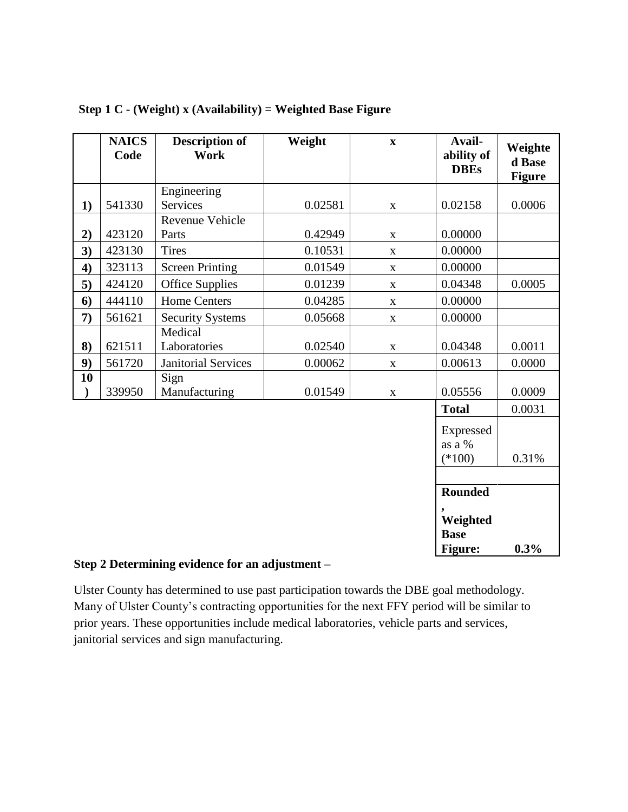|    | <b>NAICS</b><br>Code | <b>Description of</b><br><b>Work</b> | Weight  | $\boldsymbol{\mathrm{X}}$ | Avail-<br>ability of<br><b>DBEs</b> | Weighte<br>d Base<br><b>Figure</b> |
|----|----------------------|--------------------------------------|---------|---------------------------|-------------------------------------|------------------------------------|
|    |                      | Engineering                          |         |                           |                                     |                                    |
| 1) | 541330               | <b>Services</b>                      | 0.02581 | X                         | 0.02158                             | 0.0006                             |
|    |                      | Revenue Vehicle                      |         |                           |                                     |                                    |
| 2) | 423120               | Parts                                | 0.42949 | $\mathbf X$               | 0.00000                             |                                    |
| 3) | 423130               | <b>Tires</b>                         | 0.10531 | $\mathbf{X}$              | 0.00000                             |                                    |
| 4) | 323113               | <b>Screen Printing</b>               | 0.01549 | $\mathbf X$               | 0.00000                             |                                    |
| 5) | 424120               | <b>Office Supplies</b>               | 0.01239 | $\mathbf X$               | 0.04348                             | 0.0005                             |
| 6) | 444110               | <b>Home Centers</b>                  | 0.04285 | $\mathbf{X}$              | 0.00000                             |                                    |
| 7) | 561621               | <b>Security Systems</b>              | 0.05668 | $\mathbf{X}$              | 0.00000                             |                                    |
| 8) | 621511               | Medical<br>Laboratories              | 0.02540 | $\mathbf{X}$              | 0.04348                             | 0.0011                             |
| 9) | 561720               | <b>Janitorial Services</b>           | 0.00062 | $\mathbf X$               | 0.00613                             | 0.0000                             |
| 10 | 339950               | Sign<br>Manufacturing                | 0.01549 | $\mathbf X$               | 0.05556                             | 0.0009                             |
|    |                      |                                      |         |                           | <b>Total</b>                        | 0.0031                             |
|    |                      |                                      |         |                           | Expressed<br>as a %<br>$(*100)$     | 0.31%                              |
|    |                      |                                      |         |                           |                                     |                                    |
|    |                      |                                      |         |                           | <b>Rounded</b>                      |                                    |
|    |                      |                                      |         |                           | Weighted<br><b>Base</b><br>Figure:  | 0.3%                               |

## **Step 1 C - (Weight) x (Availability) = Weighted Base Figure**

#### **Step 2 Determining evidence for an adjustment –**

Ulster County has determined to use past participation towards the DBE goal methodology. Many of Ulster County's contracting opportunities for the next FFY period will be similar to prior years. These opportunities include medical laboratories, vehicle parts and services, janitorial services and sign manufacturing.